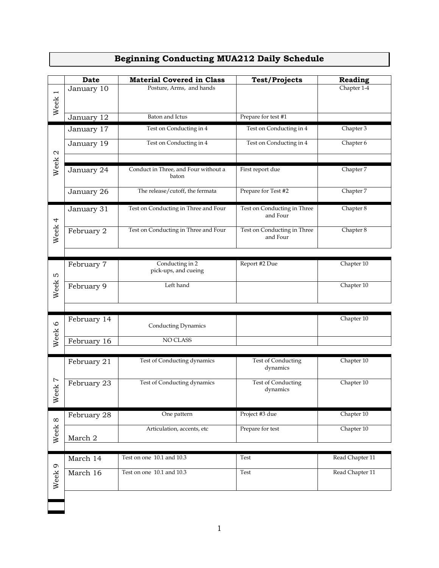|                       | <b>Date</b> | <b>Material Covered in Class</b>              | <b>Test/Projects</b>                    | Reading         |
|-----------------------|-------------|-----------------------------------------------|-----------------------------------------|-----------------|
| $\overline{ }$        | January 10  | Posture, Arms, and hands                      |                                         | Chapter 1-4     |
| Week                  |             |                                               |                                         |                 |
|                       | January 12  | Baton and Ictus                               | Prepare for test #1                     |                 |
|                       | January 17  | Test on Conducting in 4                       | Test on Conducting in 4                 | Chapter 3       |
|                       |             |                                               |                                         |                 |
| $\boldsymbol{\alpha}$ | January 19  | Test on Conducting in 4                       | Test on Conducting in 4                 | Chapter 6       |
|                       |             |                                               |                                         |                 |
| Week                  | January 24  | Conduct in Three, and Four without a<br>baton | First report due                        | Chapter 7       |
|                       | January 26  | The release/cutoff, the fermata               | Prepare for Test #2                     | Chapter 7       |
|                       | January 31  | Test on Conducting in Three and Four          | Test on Conducting in Three<br>and Four | Chapter 8       |
| Week <sub>4</sub>     | February 2  | Test on Conducting in Three and Four          | Test on Conducting in Three<br>and Four | Chapter 8       |
|                       |             |                                               |                                         |                 |
| S                     | February 7  | Conducting in 2<br>pick-ups, and cueing       | Report #2 Due                           | Chapter 10      |
| Week                  | February 9  | Left hand                                     |                                         | Chapter 10      |
|                       |             |                                               |                                         |                 |
|                       | February 14 |                                               |                                         | Chapter 10      |
| Week <sub>6</sub>     |             | Conducting Dynamics                           |                                         |                 |
|                       | February 16 | NO CLASS                                      |                                         |                 |
|                       |             |                                               |                                         |                 |
|                       | February 21 | Test of Conducting dynamics                   | Test of Conducting<br>dynamics          | Chapter 10      |
| Ņ<br>еk<br>$\aleph$   | February 23 | Test of Conducting dynamics                   | Test of Conducting<br>dynamics          | Chapter 10      |
| Week 8                | February 28 | One pattern                                   | Project #3 due                          | Chapter 10      |
|                       | March 2     | Articulation, accents, etc                    | Prepare for test                        | Chapter 10      |
|                       |             |                                               |                                         |                 |
|                       | March 14    | Test on one 10.1 and 10.3                     | Test                                    | Read Chapter 11 |
| Week 9                | March 16    | Test on one 10.1 and 10.3                     | Test                                    | Read Chapter 11 |
|                       |             |                                               |                                         |                 |

## **Beginning Conducting MUA212 Daily Schedule**